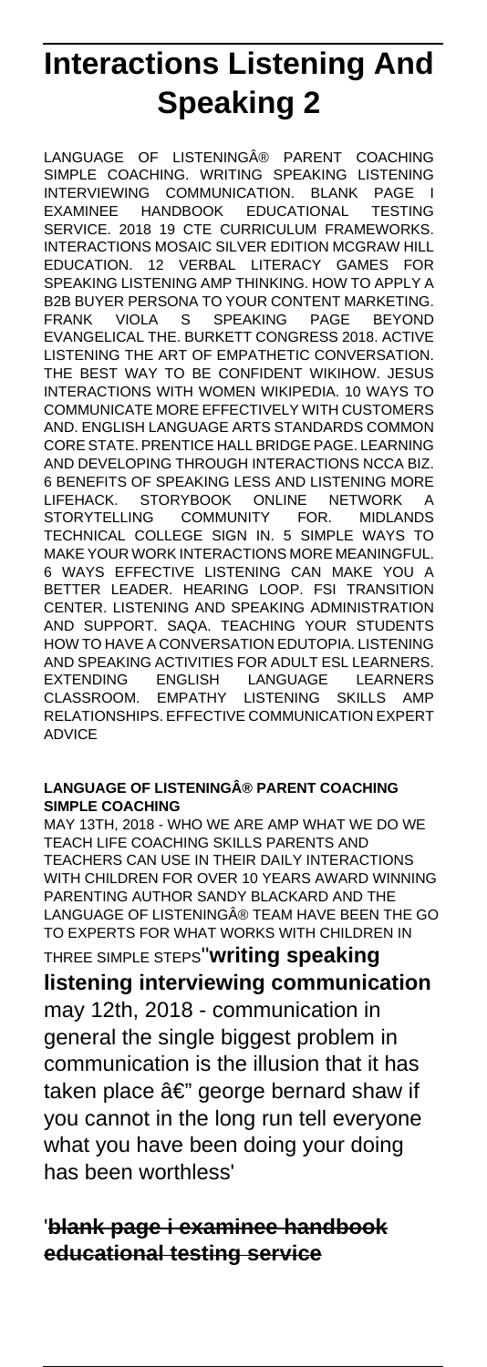# **Interactions Listening And Speaking 2**

LANGUAGE OF LISTENINGA® PARENT COACHING SIMPLE COACHING. WRITING SPEAKING LISTENING INTERVIEWING COMMUNICATION. BLANK PAGE I EXAMINEE HANDBOOK EDUCATIONAL TESTING SERVICE. 2018 19 CTE CURRICULUM FRAMEWORKS. INTERACTIONS MOSAIC SILVER EDITION MCGRAW HILL EDUCATION. 12 VERBAL LITERACY GAMES FOR SPEAKING LISTENING AMP THINKING. HOW TO APPLY A B2B BUYER PERSONA TO YOUR CONTENT MARKETING. FRANK VIOLA S SPEAKING PAGE BEYOND EVANGELICAL THE. BURKETT CONGRESS 2018. ACTIVE LISTENING THE ART OF EMPATHETIC CONVERSATION. THE BEST WAY TO BE CONFIDENT WIKIHOW. JESUS INTERACTIONS WITH WOMEN WIKIPEDIA. 10 WAYS TO COMMUNICATE MORE EFFECTIVELY WITH CUSTOMERS AND. ENGLISH LANGUAGE ARTS STANDARDS COMMON CORE STATE. PRENTICE HALL BRIDGE PAGE. LEARNING AND DEVELOPING THROUGH INTERACTIONS NCCA BIZ. 6 BENEFITS OF SPEAKING LESS AND LISTENING MORE LIFEHACK. STORYBOOK ONLINE NETWORK A STORYTELLING COMMUNITY FOR. MIDLANDS TECHNICAL COLLEGE SIGN IN. 5 SIMPLE WAYS TO MAKE YOUR WORK INTERACTIONS MORE MEANINGFUL. 6 WAYS EFFECTIVE LISTENING CAN MAKE YOU A BETTER LEADER. HEARING LOOP. FSI TRANSITION CENTER. LISTENING AND SPEAKING ADMINISTRATION AND SUPPORT. SAQA. TEACHING YOUR STUDENTS HOW TO HAVE A CONVERSATION EDUTOPIA. LISTENING AND SPEAKING ACTIVITIES FOR ADULT ESL LEARNERS. EXTENDING ENGLISH LANGUAGE LEARNERS CLASSROOM. EMPATHY LISTENING SKILLS AMP RELATIONSHIPS. EFFECTIVE COMMUNICATION EXPERT ADVICE

#### **LANGUAGE OF LISTENING® PARENT COACHING SIMPLE COACHING**

MAY 13TH, 2018 - WHO WE ARE AMP WHAT WE DO WE TEACH LIFE COACHING SKILLS PARENTS AND TEACHERS CAN USE IN THEIR DAILY INTERACTIONS WITH CHILDREN FOR OVER 10 YEARS AWARD WINNING PARENTING AUTHOR SANDY BLACKARD AND THE LANGUAGE OF LISTENING® TEAM HAVE BEEN THE GO TO EXPERTS FOR WHAT WORKS WITH CHILDREN IN THREE SIMPLE STEPS''**writing speaking**

**listening interviewing communication** may 12th, 2018 - communication in general the single biggest problem in communication is the illusion that it has taken place  $\hat{a} \in \mathbb{Z}^n$  george bernard shaw if you cannot in the long run tell everyone what you have been doing your doing has been worthless'

'**blank page i examinee handbook educational testing service**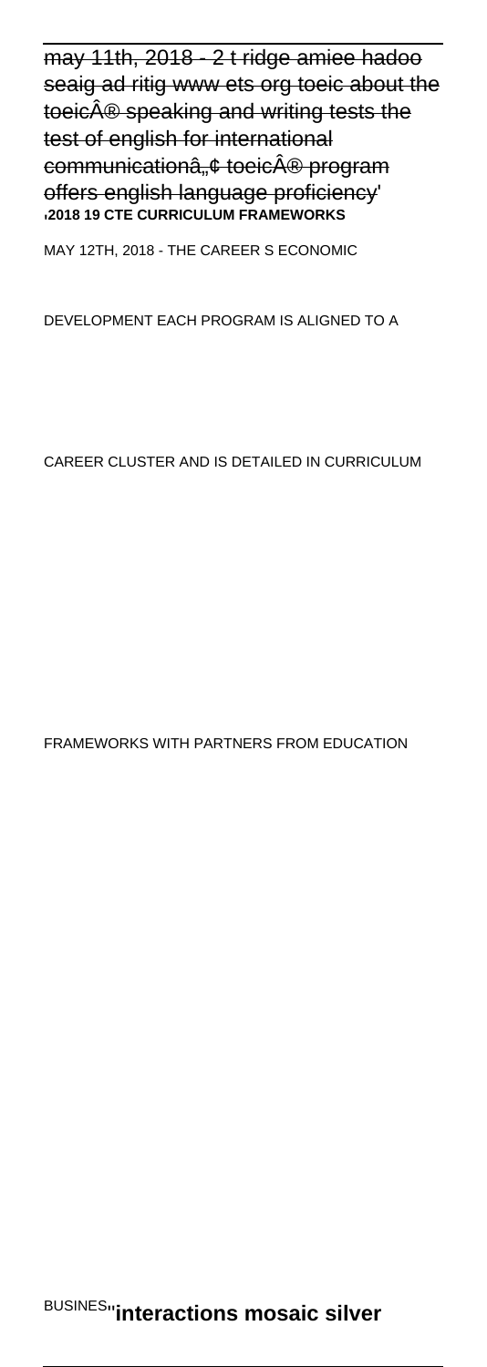may 11th, 2018 - 2 t ridge amiee hadoo seaig ad ritig www ets org toeic about the toeic® speaking and writing tests the test of english for international communicationa, ¢ toeicÂ<sup>®</sup> program offers english language proficiency' '**2018 19 CTE CURRICULUM FRAMEWORKS**

MAY 12TH, 2018 - THE CAREER S ECONOMIC

DEVELOPMENT EACH PROGRAM IS ALIGNED TO A

CAREER CLUSTER AND IS DETAILED IN CURRICULUM

FRAMEWORKS WITH PARTNERS FROM EDUCATION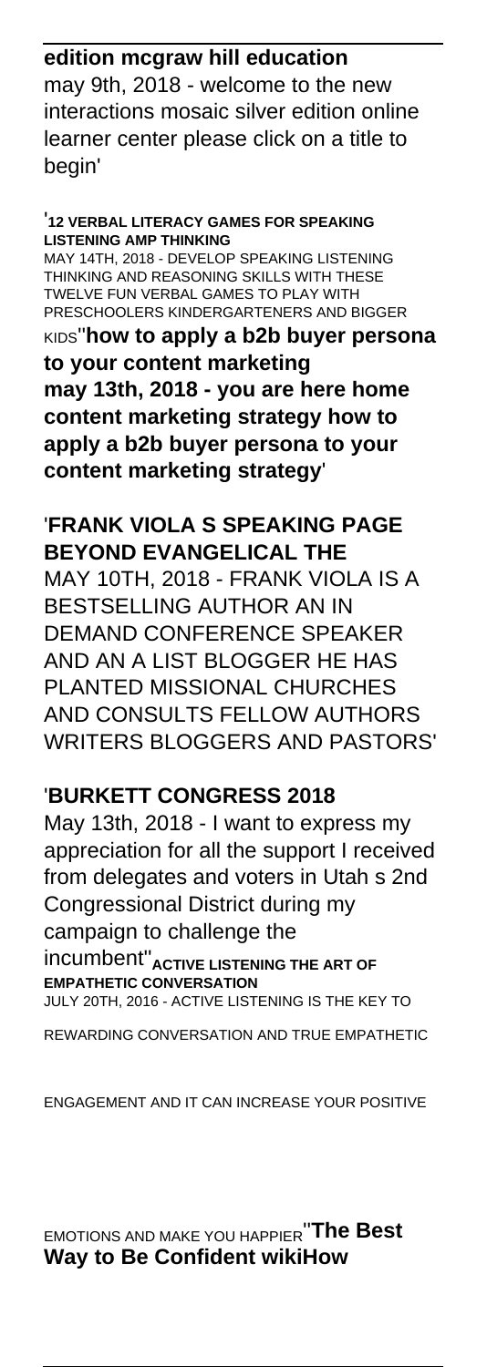# **edition mcgraw hill education**

may 9th, 2018 - welcome to the new interactions mosaic silver edition online learner center please click on a title to begin'

'**12 VERBAL LITERACY GAMES FOR SPEAKING LISTENING AMP THINKING**

MAY 14TH, 2018 - DEVELOP SPEAKING LISTENING THINKING AND REASONING SKILLS WITH THESE TWELVE FUN VERBAL GAMES TO PLAY WITH PRESCHOOLERS KINDERGARTENERS AND BIGGER

KIDS''**how to apply a b2b buyer persona to your content marketing may 13th, 2018 - you are here home content marketing strategy how to apply a b2b buyer persona to your content marketing strategy**'

#### '**FRANK VIOLA S SPEAKING PAGE BEYOND EVANGELICAL THE**

MAY 10TH, 2018 - FRANK VIOLA IS A BESTSELLING AUTHOR AN IN DEMAND CONFERENCE SPEAKER AND AN A LIST BLOGGER HE HAS PLANTED MISSIONAL CHURCHES AND CONSULTS FELLOW AUTHORS WRITERS BLOGGERS AND PASTORS'

# '**BURKETT CONGRESS 2018**

May 13th, 2018 - I want to express my appreciation for all the support I received from delegates and voters in Utah s 2nd Congressional District during my campaign to challenge the incumbent''**ACTIVE LISTENING THE ART OF EMPATHETIC CONVERSATION**

JULY 20TH, 2016 - ACTIVE LISTENING IS THE KEY TO

REWARDING CONVERSATION AND TRUE EMPATHETIC

ENGAGEMENT AND IT CAN INCREASE YOUR POSITIVE

EMOTIONS AND MAKE YOU HAPPIER''**The Best Way to Be Confident wikiHow**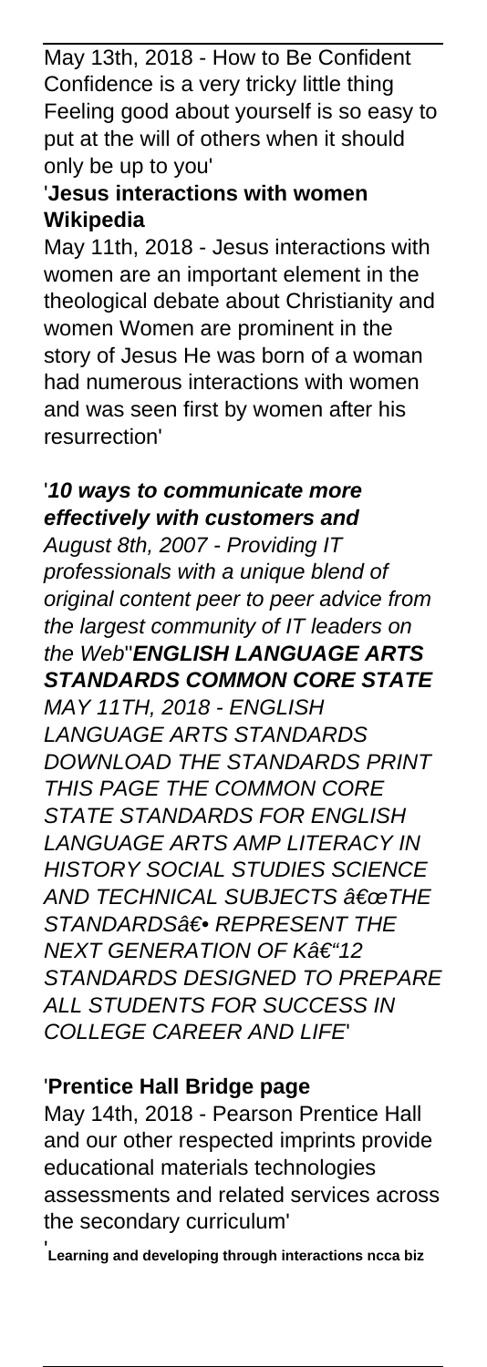May 13th, 2018 - How to Be Confident Confidence is a very tricky little thing Feeling good about yourself is so easy to put at the will of others when it should only be up to you'

# '**Jesus interactions with women Wikipedia**

May 11th, 2018 - Jesus interactions with women are an important element in the theological debate about Christianity and women Women are prominent in the story of Jesus He was born of a woman had numerous interactions with women and was seen first by women after his resurrection'

#### '**10 ways to communicate more effectively with customers and**

August 8th, 2007 - Providing IT professionals with a unique blend of original content peer to peer advice from the largest community of IT leaders on the Web''**ENGLISH LANGUAGE ARTS STANDARDS COMMON CORE STATE** MAY 11TH, 2018 - ENGLISH LANGUAGE ARTS STANDARDS DOWNLOAD THE STANDARDS PRINT THIS PAGE THE COMMON CORE STATE STANDARDS FOR ENGLISH LANGUAGE ARTS AMP LITERACY IN HISTORY SOCIAL STUDIES SCIENCE AND TECHNICAL SUBJECTS †œTHE STANDARDS<sup>a</sup>€ REPRESENT THE NEXT GENERATION OF K†"12 STANDARDS DESIGNED TO PREPARE ALL STUDENTS FOR SUCCESS IN COLLEGE CAREER AND LIFE'

# '**Prentice Hall Bridge page**

May 14th, 2018 - Pearson Prentice Hall and our other respected imprints provide educational materials technologies assessments and related services across the secondary curriculum'

'**Learning and developing through interactions ncca biz**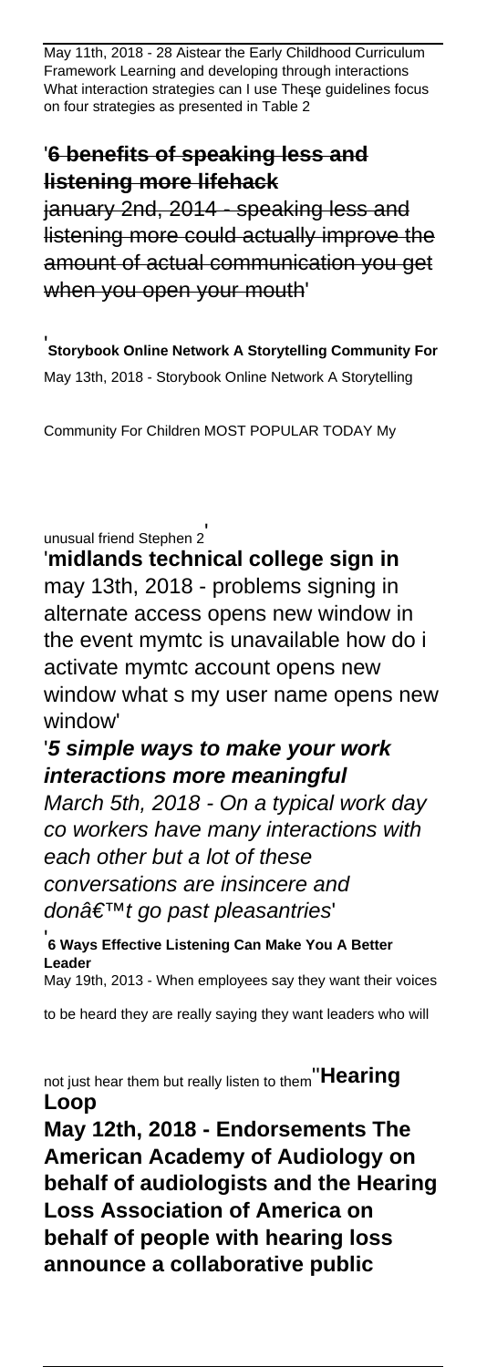May 11th, 2018 - 28 Aistear the Early Childhood Curriculum Framework Learning and developing through interactions What interaction strategies can I use These guidelines focus on four strategies as presented in Table 2'

# '**6 benefits of speaking less and listening more lifehack**

january 2nd, 2014 - speaking less and listening more could actually improve the amount of actual communication you get when you open your mouth'

'**Storybook Online Network A Storytelling Community For** May 13th, 2018 - Storybook Online Network A Storytelling

Community For Children MOST POPULAR TODAY My

unusual friend Stephen 2'

'**midlands technical college sign in** may 13th, 2018 - problems signing in alternate access opens new window in the event mymtc is unavailable how do i activate mymtc account opens new window what s my user name opens new window'

# '**5 simple ways to make your work interactions more meaningful**

March 5th, 2018 - On a typical work day co workers have many interactions with each other but a lot of these conversations are insincere and donâ€<sup>™t</sup> go past pleasantries

'**6 Ways Effective Listening Can Make You A Better Leader** May 19th, 2013 - When employees say they want their voices

to be heard they are really saying they want leaders who will

not just hear them but really listen to them''**Hearing Loop**

**May 12th, 2018 - Endorsements The American Academy of Audiology on behalf of audiologists and the Hearing Loss Association of America on behalf of people with hearing loss announce a collaborative public**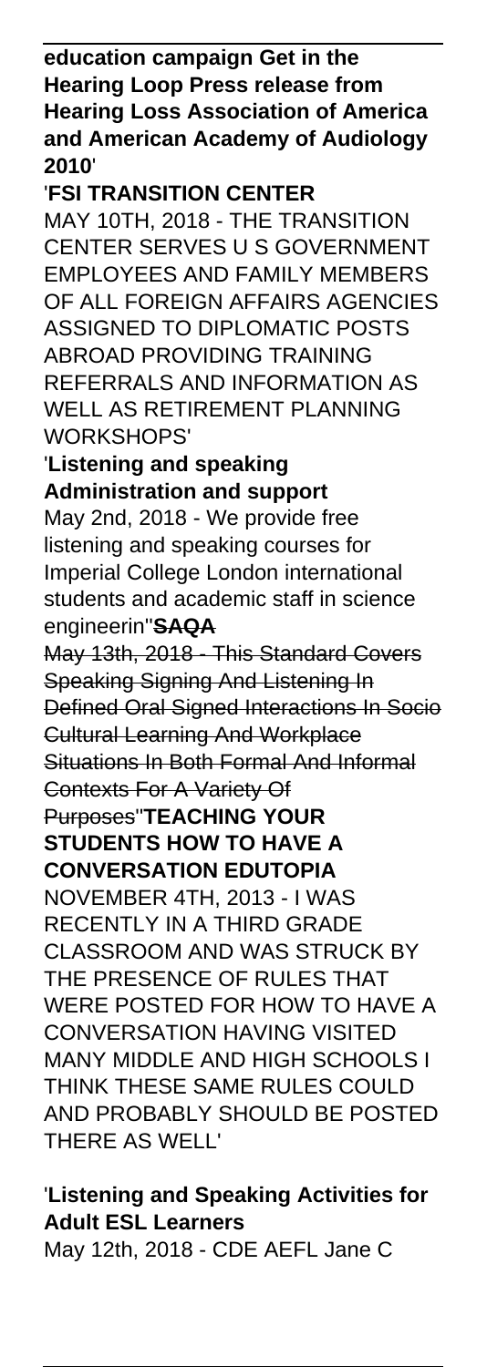**education campaign Get in the Hearing Loop Press release from Hearing Loss Association of America and American Academy of Audiology 2010**'

# '**FSI TRANSITION CENTER**

MAY 10TH, 2018 - THE TRANSITION CENTER SERVES U S GOVERNMENT EMPLOYEES AND FAMILY MEMBERS OF ALL FOREIGN AFFAIRS AGENCIES ASSIGNED TO DIPLOMATIC POSTS ABROAD PROVIDING TRAINING REFERRALS AND INFORMATION AS WELL AS RETIREMENT PLANNING WORKSHOPS'

## '**Listening and speaking Administration and support**

May 2nd, 2018 - We provide free listening and speaking courses for Imperial College London international students and academic staff in science engineerin''**SAQA**

May 13th, 2018 - This Standard Covers Speaking Signing And Listening In Defined Oral Signed Interactions In Socio Cultural Learning And Workplace Situations In Both Formal And Informal Contexts For A Variety Of

Purposes''**TEACHING YOUR STUDENTS HOW TO HAVE A CONVERSATION EDUTOPIA**

NOVEMBER 4TH, 2013 - I WAS RECENTLY IN A THIRD GRADE CLASSROOM AND WAS STRUCK BY THE PRESENCE OF RULES THAT WERE POSTED FOR HOW TO HAVE A CONVERSATION HAVING VISITED MANY MIDDLE AND HIGH SCHOOLS I THINK THESE SAME RULES COULD AND PROBABLY SHOULD BE POSTED THERE AS WELL'

'**Listening and Speaking Activities for Adult ESL Learners** May 12th, 2018 - CDE AEFL Jane C